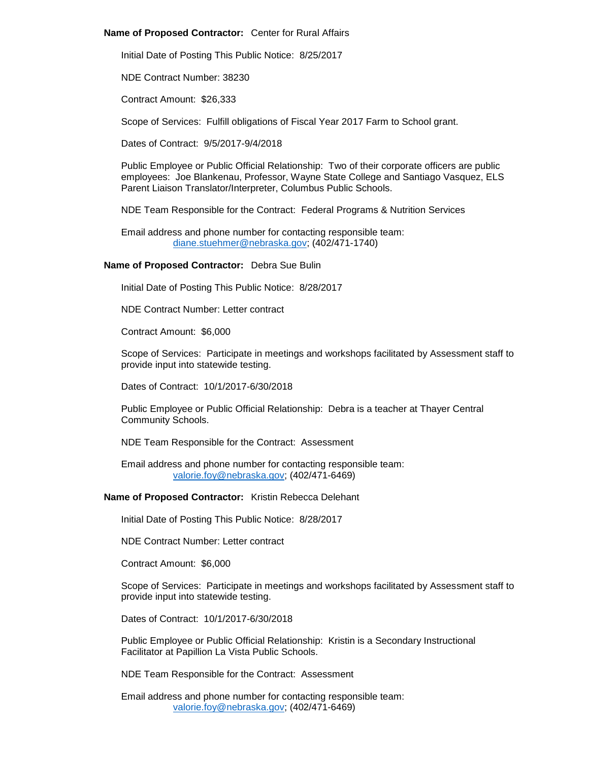### **Name of Proposed Contractor:** Center for Rural Affairs

Initial Date of Posting This Public Notice: 8/25/2017

NDE Contract Number: 38230

Contract Amount: \$26,333

Scope of Services: Fulfill obligations of Fiscal Year 2017 Farm to School grant.

Dates of Contract: 9/5/2017-9/4/2018

Public Employee or Public Official Relationship: Two of their corporate officers are public employees: Joe Blankenau, Professor, Wayne State College and Santiago Vasquez, ELS Parent Liaison Translator/Interpreter, Columbus Public Schools.

NDE Team Responsible for the Contract: Federal Programs & Nutrition Services

Email address and phone number for contacting responsible team: [diane.stuehmer@nebraska.gov;](mailto:diane.stuehmer@nebraska.gov) (402/471-1740)

# **Name of Proposed Contractor:** Debra Sue Bulin

Initial Date of Posting This Public Notice: 8/28/2017

NDE Contract Number: Letter contract

Contract Amount: \$6,000

Scope of Services: Participate in meetings and workshops facilitated by Assessment staff to provide input into statewide testing.

Dates of Contract: 10/1/2017-6/30/2018

Public Employee or Public Official Relationship: Debra is a teacher at Thayer Central Community Schools.

NDE Team Responsible for the Contract: Assessment

Email address and phone number for contacting responsible team: [valorie.foy@nebraska.gov;](mailto:valorie.foy@nebraska.gov) (402/471-6469)

**Name of Proposed Contractor:** Kristin Rebecca Delehant

Initial Date of Posting This Public Notice: 8/28/2017

NDE Contract Number: Letter contract

Contract Amount: \$6,000

Scope of Services: Participate in meetings and workshops facilitated by Assessment staff to provide input into statewide testing.

Dates of Contract: 10/1/2017-6/30/2018

Public Employee or Public Official Relationship: Kristin is a Secondary Instructional Facilitator at Papillion La Vista Public Schools.

NDE Team Responsible for the Contract: Assessment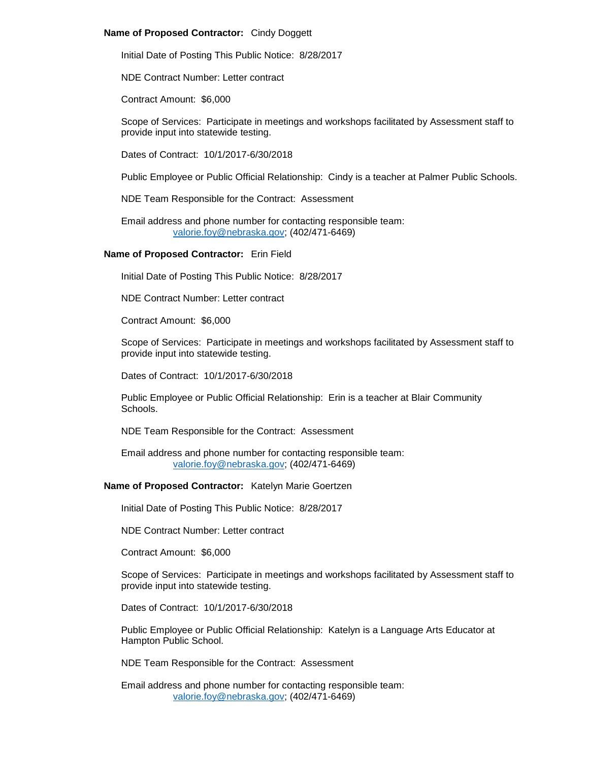# **Name of Proposed Contractor:** Cindy Doggett

Initial Date of Posting This Public Notice: 8/28/2017

NDE Contract Number: Letter contract

Contract Amount: \$6,000

Scope of Services: Participate in meetings and workshops facilitated by Assessment staff to provide input into statewide testing.

Dates of Contract: 10/1/2017-6/30/2018

Public Employee or Public Official Relationship: Cindy is a teacher at Palmer Public Schools.

NDE Team Responsible for the Contract: Assessment

Email address and phone number for contacting responsible team: [valorie.foy@nebraska.gov;](mailto:valorie.foy@nebraska.gov) (402/471-6469)

### **Name of Proposed Contractor:** Erin Field

Initial Date of Posting This Public Notice: 8/28/2017

NDE Contract Number: Letter contract

Contract Amount: \$6,000

Scope of Services: Participate in meetings and workshops facilitated by Assessment staff to provide input into statewide testing.

Dates of Contract: 10/1/2017-6/30/2018

Public Employee or Public Official Relationship: Erin is a teacher at Blair Community Schools.

NDE Team Responsible for the Contract: Assessment

Email address and phone number for contacting responsible team: [valorie.foy@nebraska.gov;](mailto:valorie.foy@nebraska.gov) (402/471-6469)

**Name of Proposed Contractor:** Katelyn Marie Goertzen

Initial Date of Posting This Public Notice: 8/28/2017

NDE Contract Number: Letter contract

Contract Amount: \$6,000

Scope of Services: Participate in meetings and workshops facilitated by Assessment staff to provide input into statewide testing.

Dates of Contract: 10/1/2017-6/30/2018

Public Employee or Public Official Relationship: Katelyn is a Language Arts Educator at Hampton Public School.

NDE Team Responsible for the Contract: Assessment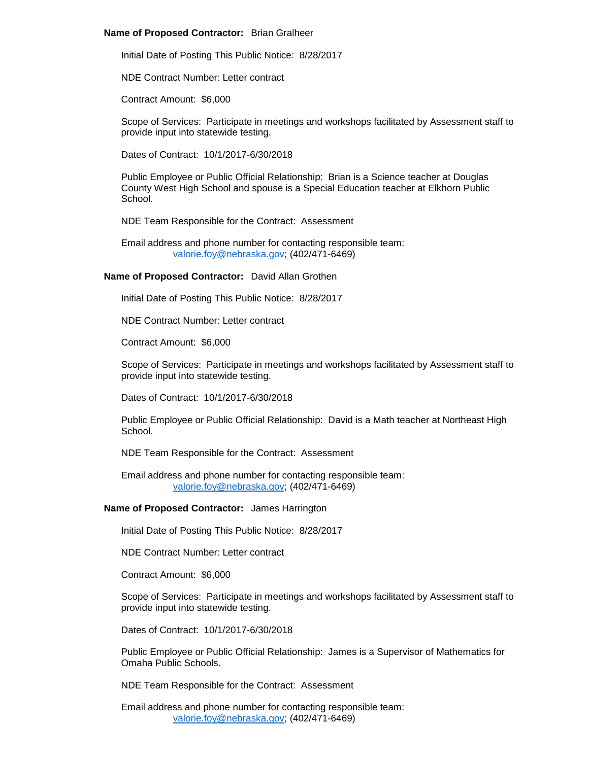## **Name of Proposed Contractor:** Brian Gralheer

Initial Date of Posting This Public Notice: 8/28/2017

NDE Contract Number: Letter contract

Contract Amount: \$6,000

Scope of Services: Participate in meetings and workshops facilitated by Assessment staff to provide input into statewide testing.

Dates of Contract: 10/1/2017-6/30/2018

Public Employee or Public Official Relationship: Brian is a Science teacher at Douglas County West High School and spouse is a Special Education teacher at Elkhorn Public School.

NDE Team Responsible for the Contract: Assessment

Email address and phone number for contacting responsible team: [valorie.foy@nebraska.gov;](mailto:valorie.foy@nebraska.gov) (402/471-6469)

# **Name of Proposed Contractor:** David Allan Grothen

Initial Date of Posting This Public Notice: 8/28/2017

NDE Contract Number: Letter contract

Contract Amount: \$6,000

Scope of Services: Participate in meetings and workshops facilitated by Assessment staff to provide input into statewide testing.

Dates of Contract: 10/1/2017-6/30/2018

Public Employee or Public Official Relationship: David is a Math teacher at Northeast High School.

NDE Team Responsible for the Contract: Assessment

Email address and phone number for contacting responsible team: [valorie.foy@nebraska.gov;](mailto:valorie.foy@nebraska.gov) (402/471-6469)

# **Name of Proposed Contractor:** James Harrington

Initial Date of Posting This Public Notice: 8/28/2017

NDE Contract Number: Letter contract

Contract Amount: \$6,000

Scope of Services: Participate in meetings and workshops facilitated by Assessment staff to provide input into statewide testing.

Dates of Contract: 10/1/2017-6/30/2018

Public Employee or Public Official Relationship: James is a Supervisor of Mathematics for Omaha Public Schools.

NDE Team Responsible for the Contract: Assessment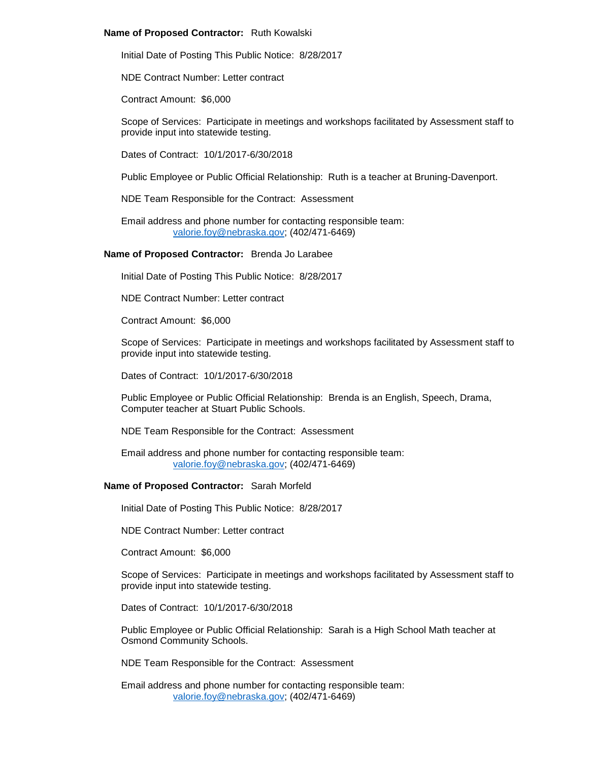### **Name of Proposed Contractor:** Ruth Kowalski

Initial Date of Posting This Public Notice: 8/28/2017

NDE Contract Number: Letter contract

Contract Amount: \$6,000

Scope of Services: Participate in meetings and workshops facilitated by Assessment staff to provide input into statewide testing.

Dates of Contract: 10/1/2017-6/30/2018

Public Employee or Public Official Relationship: Ruth is a teacher at Bruning-Davenport.

NDE Team Responsible for the Contract: Assessment

Email address and phone number for contacting responsible team: [valorie.foy@nebraska.gov;](mailto:valorie.foy@nebraska.gov) (402/471-6469)

**Name of Proposed Contractor:** Brenda Jo Larabee

Initial Date of Posting This Public Notice: 8/28/2017

NDE Contract Number: Letter contract

Contract Amount: \$6,000

Scope of Services: Participate in meetings and workshops facilitated by Assessment staff to provide input into statewide testing.

Dates of Contract: 10/1/2017-6/30/2018

Public Employee or Public Official Relationship: Brenda is an English, Speech, Drama, Computer teacher at Stuart Public Schools.

NDE Team Responsible for the Contract: Assessment

Email address and phone number for contacting responsible team: [valorie.foy@nebraska.gov;](mailto:valorie.foy@nebraska.gov) (402/471-6469)

# **Name of Proposed Contractor:** Sarah Morfeld

Initial Date of Posting This Public Notice: 8/28/2017

NDE Contract Number: Letter contract

Contract Amount: \$6,000

Scope of Services: Participate in meetings and workshops facilitated by Assessment staff to provide input into statewide testing.

Dates of Contract: 10/1/2017-6/30/2018

Public Employee or Public Official Relationship: Sarah is a High School Math teacher at Osmond Community Schools.

NDE Team Responsible for the Contract: Assessment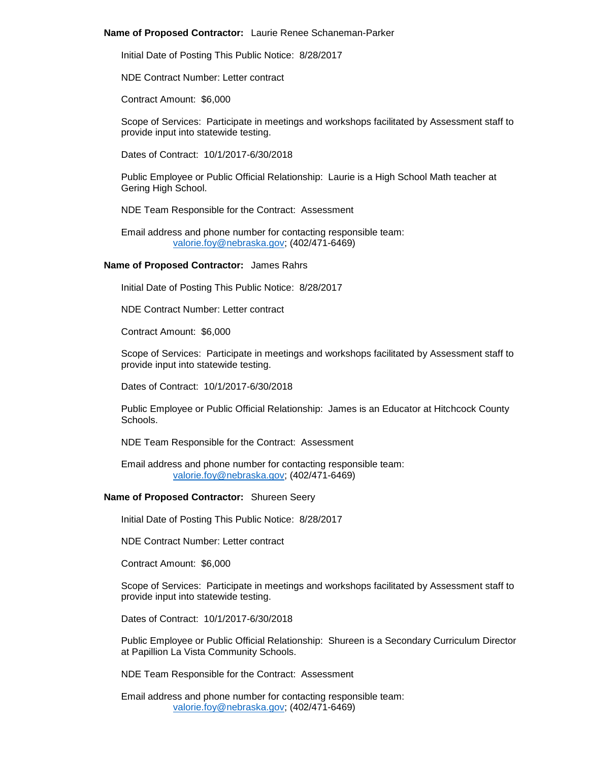### **Name of Proposed Contractor:** Laurie Renee Schaneman-Parker

Initial Date of Posting This Public Notice: 8/28/2017

NDE Contract Number: Letter contract

Contract Amount: \$6,000

Scope of Services: Participate in meetings and workshops facilitated by Assessment staff to provide input into statewide testing.

Dates of Contract: 10/1/2017-6/30/2018

Public Employee or Public Official Relationship: Laurie is a High School Math teacher at Gering High School.

NDE Team Responsible for the Contract: Assessment

Email address and phone number for contacting responsible team: [valorie.foy@nebraska.gov;](mailto:valorie.foy@nebraska.gov) (402/471-6469)

#### **Name of Proposed Contractor:** James Rahrs

Initial Date of Posting This Public Notice: 8/28/2017

NDE Contract Number: Letter contract

Contract Amount: \$6,000

Scope of Services: Participate in meetings and workshops facilitated by Assessment staff to provide input into statewide testing.

Dates of Contract: 10/1/2017-6/30/2018

Public Employee or Public Official Relationship: James is an Educator at Hitchcock County **Schools** 

NDE Team Responsible for the Contract: Assessment

Email address and phone number for contacting responsible team: [valorie.foy@nebraska.gov;](mailto:valorie.foy@nebraska.gov) (402/471-6469)

#### **Name of Proposed Contractor:** Shureen Seery

Initial Date of Posting This Public Notice: 8/28/2017

NDE Contract Number: Letter contract

Contract Amount: \$6,000

Scope of Services: Participate in meetings and workshops facilitated by Assessment staff to provide input into statewide testing.

Dates of Contract: 10/1/2017-6/30/2018

Public Employee or Public Official Relationship: Shureen is a Secondary Curriculum Director at Papillion La Vista Community Schools.

NDE Team Responsible for the Contract: Assessment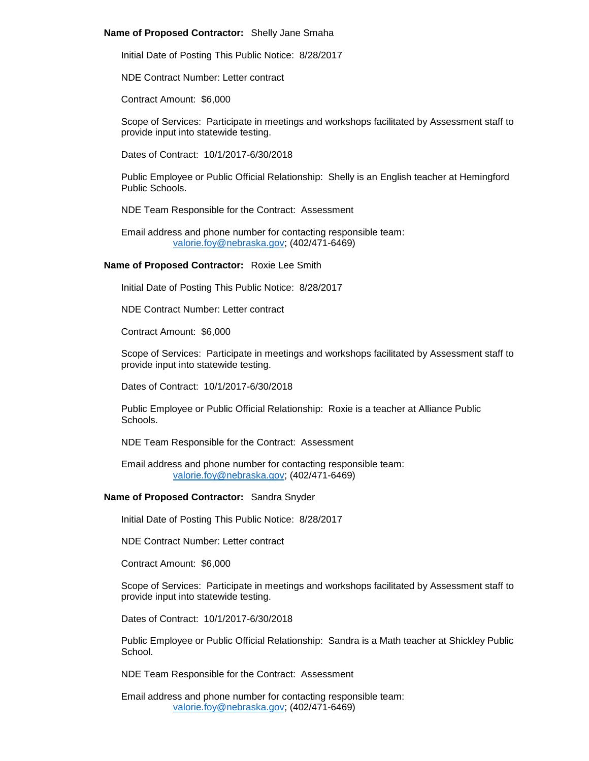### **Name of Proposed Contractor:** Shelly Jane Smaha

Initial Date of Posting This Public Notice: 8/28/2017

NDE Contract Number: Letter contract

Contract Amount: \$6,000

Scope of Services: Participate in meetings and workshops facilitated by Assessment staff to provide input into statewide testing.

Dates of Contract: 10/1/2017-6/30/2018

Public Employee or Public Official Relationship: Shelly is an English teacher at Hemingford Public Schools.

NDE Team Responsible for the Contract: Assessment

Email address and phone number for contacting responsible team: [valorie.foy@nebraska.gov;](mailto:valorie.foy@nebraska.gov) (402/471-6469)

# **Name of Proposed Contractor:** Roxie Lee Smith

Initial Date of Posting This Public Notice: 8/28/2017

NDE Contract Number: Letter contract

Contract Amount: \$6,000

Scope of Services: Participate in meetings and workshops facilitated by Assessment staff to provide input into statewide testing.

Dates of Contract: 10/1/2017-6/30/2018

Public Employee or Public Official Relationship: Roxie is a teacher at Alliance Public **Schools** 

NDE Team Responsible for the Contract: Assessment

Email address and phone number for contacting responsible team: [valorie.foy@nebraska.gov;](mailto:valorie.foy@nebraska.gov) (402/471-6469)

# **Name of Proposed Contractor:** Sandra Snyder

Initial Date of Posting This Public Notice: 8/28/2017

NDE Contract Number: Letter contract

Contract Amount: \$6,000

Scope of Services: Participate in meetings and workshops facilitated by Assessment staff to provide input into statewide testing.

Dates of Contract: 10/1/2017-6/30/2018

Public Employee or Public Official Relationship: Sandra is a Math teacher at Shickley Public School.

NDE Team Responsible for the Contract: Assessment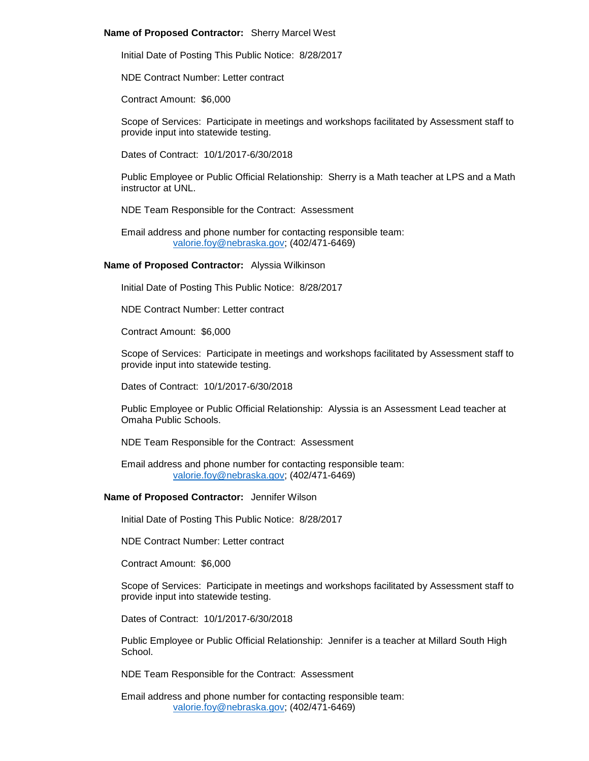### **Name of Proposed Contractor:** Sherry Marcel West

Initial Date of Posting This Public Notice: 8/28/2017

NDE Contract Number: Letter contract

Contract Amount: \$6,000

Scope of Services: Participate in meetings and workshops facilitated by Assessment staff to provide input into statewide testing.

Dates of Contract: 10/1/2017-6/30/2018

Public Employee or Public Official Relationship: Sherry is a Math teacher at LPS and a Math instructor at UNL.

NDE Team Responsible for the Contract: Assessment

Email address and phone number for contacting responsible team: [valorie.foy@nebraska.gov;](mailto:valorie.foy@nebraska.gov) (402/471-6469)

### **Name of Proposed Contractor:** Alyssia Wilkinson

Initial Date of Posting This Public Notice: 8/28/2017

NDE Contract Number: Letter contract

Contract Amount: \$6,000

Scope of Services: Participate in meetings and workshops facilitated by Assessment staff to provide input into statewide testing.

Dates of Contract: 10/1/2017-6/30/2018

Public Employee or Public Official Relationship: Alyssia is an Assessment Lead teacher at Omaha Public Schools.

NDE Team Responsible for the Contract: Assessment

Email address and phone number for contacting responsible team: [valorie.foy@nebraska.gov;](mailto:valorie.foy@nebraska.gov) (402/471-6469)

### **Name of Proposed Contractor:** Jennifer Wilson

Initial Date of Posting This Public Notice: 8/28/2017

NDE Contract Number: Letter contract

Contract Amount: \$6,000

Scope of Services: Participate in meetings and workshops facilitated by Assessment staff to provide input into statewide testing.

Dates of Contract: 10/1/2017-6/30/2018

Public Employee or Public Official Relationship: Jennifer is a teacher at Millard South High School.

NDE Team Responsible for the Contract: Assessment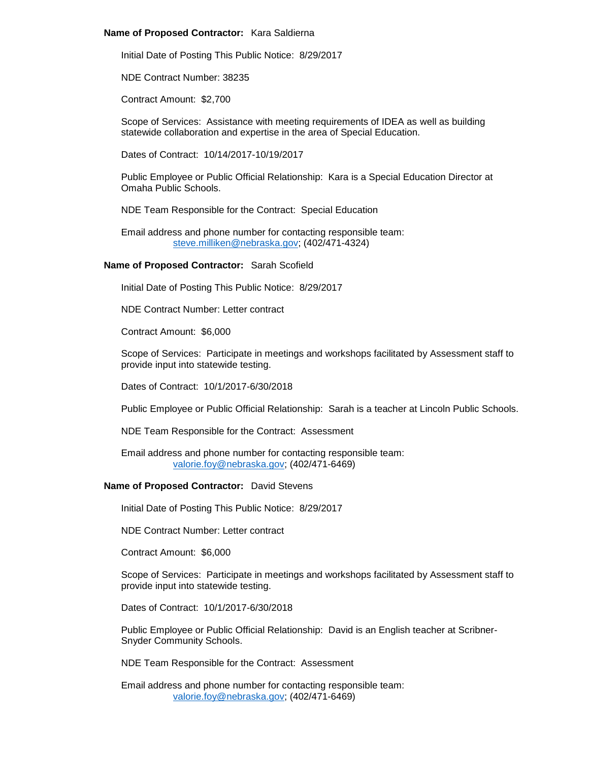### **Name of Proposed Contractor:** Kara Saldierna

Initial Date of Posting This Public Notice: 8/29/2017

NDE Contract Number: 38235

Contract Amount: \$2,700

Scope of Services: Assistance with meeting requirements of IDEA as well as building statewide collaboration and expertise in the area of Special Education.

Dates of Contract: 10/14/2017-10/19/2017

Public Employee or Public Official Relationship: Kara is a Special Education Director at Omaha Public Schools.

NDE Team Responsible for the Contract: Special Education

Email address and phone number for contacting responsible team: [steve.milliken@nebraska.gov;](mailto:steve.milliken@nebraska.gov) (402/471-4324)

# **Name of Proposed Contractor:** Sarah Scofield

Initial Date of Posting This Public Notice: 8/29/2017

NDE Contract Number: Letter contract

Contract Amount: \$6,000

Scope of Services: Participate in meetings and workshops facilitated by Assessment staff to provide input into statewide testing.

Dates of Contract: 10/1/2017-6/30/2018

Public Employee or Public Official Relationship: Sarah is a teacher at Lincoln Public Schools.

NDE Team Responsible for the Contract: Assessment

Email address and phone number for contacting responsible team: [valorie.foy@nebraska.gov;](mailto:valorie.foy@nebraska.gov) (402/471-6469)

# **Name of Proposed Contractor:** David Stevens

Initial Date of Posting This Public Notice: 8/29/2017

NDE Contract Number: Letter contract

Contract Amount: \$6,000

Scope of Services: Participate in meetings and workshops facilitated by Assessment staff to provide input into statewide testing.

Dates of Contract: 10/1/2017-6/30/2018

Public Employee or Public Official Relationship: David is an English teacher at Scribner-Snyder Community Schools.

NDE Team Responsible for the Contract: Assessment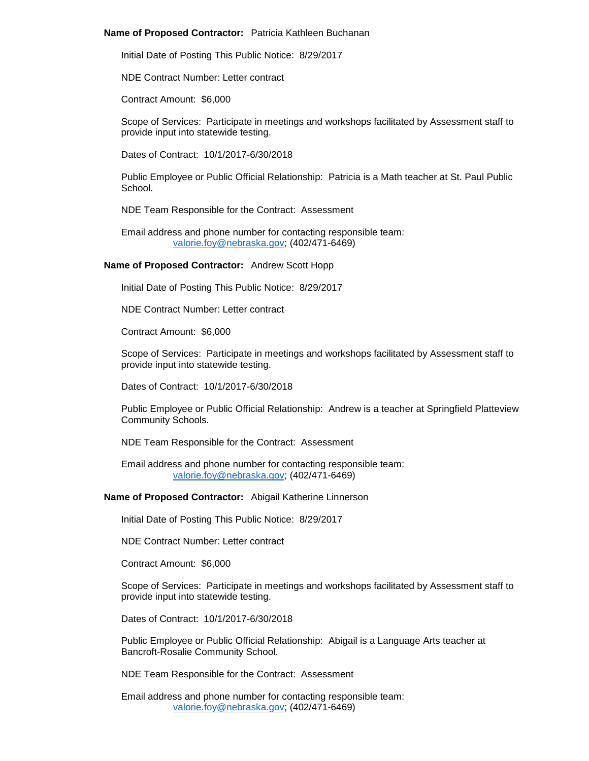### **Name of Proposed Contractor:** Patricia Kathleen Buchanan

Initial Date of Posting This Public Notice: 8/29/2017

NDE Contract Number: Letter contract

Contract Amount: \$6,000

Scope of Services: Participate in meetings and workshops facilitated by Assessment staff to provide input into statewide testing.

Dates of Contract: 10/1/2017-6/30/2018

Public Employee or Public Official Relationship: Patricia is a Math teacher at St. Paul Public School.

NDE Team Responsible for the Contract: Assessment

Email address and phone number for contacting responsible team: [valorie.foy@nebraska.gov;](mailto:valorie.foy@nebraska.gov) (402/471-6469)

#### **Name of Proposed Contractor:** Andrew Scott Hopp

Initial Date of Posting This Public Notice: 8/29/2017

NDE Contract Number: Letter contract

Contract Amount: \$6,000

Scope of Services: Participate in meetings and workshops facilitated by Assessment staff to provide input into statewide testing.

Dates of Contract: 10/1/2017-6/30/2018

Public Employee or Public Official Relationship: Andrew is a teacher at Springfield Platteview Community Schools.

NDE Team Responsible for the Contract: Assessment

Email address and phone number for contacting responsible team: [valorie.foy@nebraska.gov;](mailto:valorie.foy@nebraska.gov) (402/471-6469)

**Name of Proposed Contractor:** Abigail Katherine Linnerson

Initial Date of Posting This Public Notice: 8/29/2017

NDE Contract Number: Letter contract

Contract Amount: \$6,000

Scope of Services: Participate in meetings and workshops facilitated by Assessment staff to provide input into statewide testing.

Dates of Contract: 10/1/2017-6/30/2018

Public Employee or Public Official Relationship: Abigail is a Language Arts teacher at Bancroft-Rosalie Community School.

NDE Team Responsible for the Contract: Assessment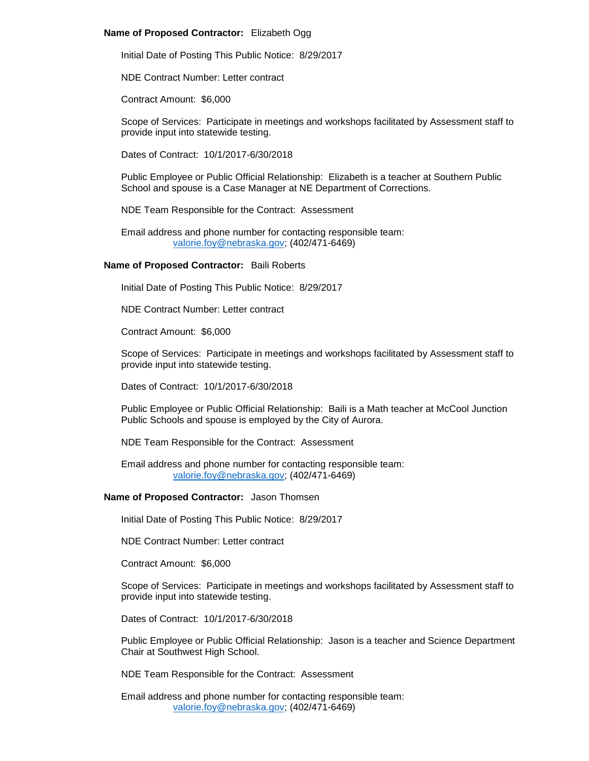## **Name of Proposed Contractor:** Elizabeth Ogg

Initial Date of Posting This Public Notice: 8/29/2017

NDE Contract Number: Letter contract

Contract Amount: \$6,000

Scope of Services: Participate in meetings and workshops facilitated by Assessment staff to provide input into statewide testing.

Dates of Contract: 10/1/2017-6/30/2018

Public Employee or Public Official Relationship: Elizabeth is a teacher at Southern Public School and spouse is a Case Manager at NE Department of Corrections.

NDE Team Responsible for the Contract: Assessment

Email address and phone number for contacting responsible team: [valorie.foy@nebraska.gov;](mailto:valorie.foy@nebraska.gov) (402/471-6469)

# **Name of Proposed Contractor:** Baili Roberts

Initial Date of Posting This Public Notice: 8/29/2017

NDE Contract Number: Letter contract

Contract Amount: \$6,000

Scope of Services: Participate in meetings and workshops facilitated by Assessment staff to provide input into statewide testing.

Dates of Contract: 10/1/2017-6/30/2018

Public Employee or Public Official Relationship: Baili is a Math teacher at McCool Junction Public Schools and spouse is employed by the City of Aurora.

NDE Team Responsible for the Contract: Assessment

Email address and phone number for contacting responsible team: [valorie.foy@nebraska.gov;](mailto:valorie.foy@nebraska.gov) (402/471-6469)

### **Name of Proposed Contractor:** Jason Thomsen

Initial Date of Posting This Public Notice: 8/29/2017

NDE Contract Number: Letter contract

Contract Amount: \$6,000

Scope of Services: Participate in meetings and workshops facilitated by Assessment staff to provide input into statewide testing.

Dates of Contract: 10/1/2017-6/30/2018

Public Employee or Public Official Relationship: Jason is a teacher and Science Department Chair at Southwest High School.

NDE Team Responsible for the Contract: Assessment